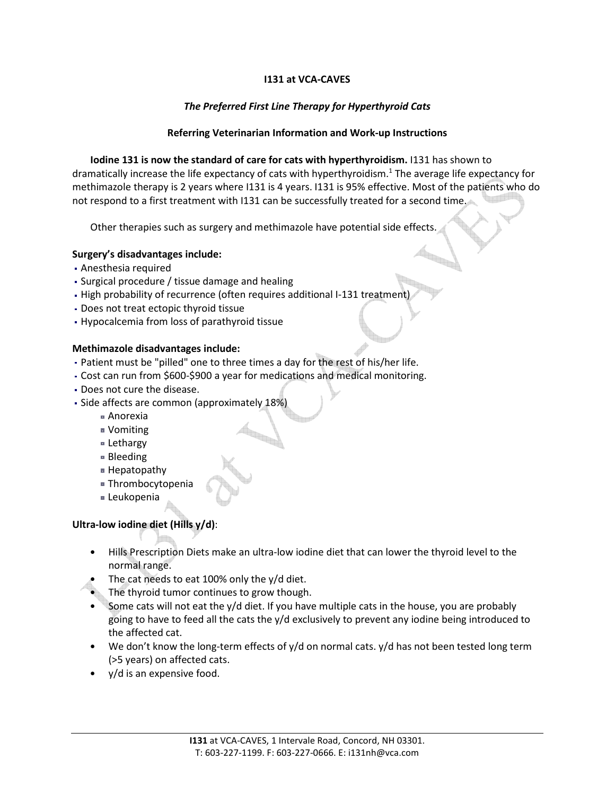## I131 at VCA-CAVES

## The Preferred First Line Therapy for Hyperthyroid Cats

## Referring Veterinarian Information and Work-up Instructions

Iodine 131 is now the standard of care for cats with hyperthyroidism. I131 has shown to dramatically increase the life expectancy of cats with hyperthyroidism.<sup>1</sup> The average life expectancy for methimazole therapy is 2 years where I131 is 4 years. I131 is 95% effective. Most of the patients who do not respond to a first treatment with I131 can be successfully treated for a second time.

Other therapies such as surgery and methimazole have potential side effects.

## Surgery's disadvantages include:

- Anesthesia required
- Surgical procedure / tissue damage and healing
- High probability of recurrence (often requires additional I-131 treatment)
- Does not treat ectopic thyroid tissue
- Hypocalcemia from loss of parathyroid tissue

## Methimazole disadvantages include:

- Patient must be "pilled" one to three times a day for the rest of his/her life.
- Cost can run from \$600-\$900 a year for medications and medical monitoring.
- Does not cure the disease.
- Side affects are common (approximately 18%)
	- Anorexia
	- Vomiting
	- Lethargy
	- Bleeding
	- Hepatopathy
	- Thrombocytopenia
	- Leukopenia

# Ultra-low iodine diet (Hills y/d):

- Hills Prescription Diets make an ultra-low iodine diet that can lower the thyroid level to the normal range.
- The cat needs to eat 100% only the y/d diet.
- The thyroid tumor continues to grow though.
- Some cats will not eat the  $y/d$  diet. If you have multiple cats in the house, you are probably going to have to feed all the cats the y/d exclusively to prevent any iodine being introduced to the affected cat.
- We don't know the long-term effects of y/d on normal cats. y/d has not been tested long term (>5 years) on affected cats.
- y/d is an expensive food.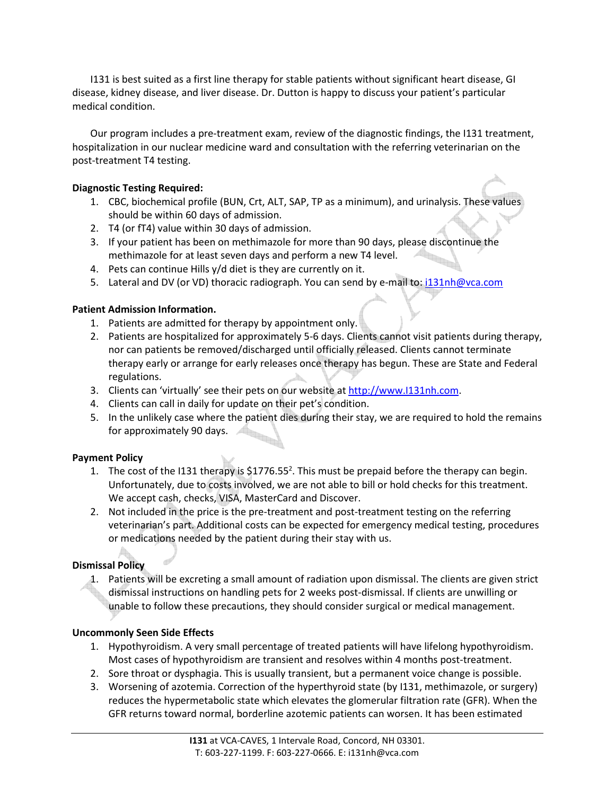I131 is best suited as a first line therapy for stable patients without significant heart disease, GI disease, kidney disease, and liver disease. Dr. Dutton is happy to discuss your patient's particular medical condition.

Our program includes a pre-treatment exam, review of the diagnostic findings, the I131 treatment, hospitalization in our nuclear medicine ward and consultation with the referring veterinarian on the post-treatment T4 testing.

## Diagnostic Testing Required:

- 1. CBC, biochemical profile (BUN, Crt, ALT, SAP, TP as a minimum), and urinalysis. These values should be within 60 days of admission.
- 2. T4 (or fT4) value within 30 days of admission.
- 3. If your patient has been on methimazole for more than 90 days, please discontinue the methimazole for at least seven days and perform a new T4 level.
- 4. Pets can continue Hills y/d diet is they are currently on it.
- 5. Lateral and DV (or VD) thoracic radiograph. You can send by e-mail to: i131nh@vca.com

## Patient Admission Information.

- 1. Patients are admitted for therapy by appointment only.
- 2. Patients are hospitalized for approximately 5-6 days. Clients cannot visit patients during therapy, nor can patients be removed/discharged until officially released. Clients cannot terminate therapy early or arrange for early releases once therapy has begun. These are State and Federal regulations.
- 3. Clients can 'virtually' see their pets on our website at http://www.I131nh.com.
- 4. Clients can call in daily for update on their pet's condition.
- 5. In the unlikely case where the patient dies during their stay, we are required to hold the remains for approximately 90 days.

#### Payment Policy

- 1. The cost of the I131 therapy is  $$1776.55<sup>2</sup>$ . This must be prepaid before the therapy can begin. Unfortunately, due to costs involved, we are not able to bill or hold checks for this treatment. We accept cash, checks, VISA, MasterCard and Discover.
- 2. Not included in the price is the pre-treatment and post-treatment testing on the referring veterinarian's part. Additional costs can be expected for emergency medical testing, procedures or medications needed by the patient during their stay with us.

## Dismissal Policy

1. Patients will be excreting a small amount of radiation upon dismissal. The clients are given strict dismissal instructions on handling pets for 2 weeks post-dismissal. If clients are unwilling or unable to follow these precautions, they should consider surgical or medical management.

#### Uncommonly Seen Side Effects

- 1. Hypothyroidism. A very small percentage of treated patients will have lifelong hypothyroidism. Most cases of hypothyroidism are transient and resolves within 4 months post-treatment.
- 2. Sore throat or dysphagia. This is usually transient, but a permanent voice change is possible.
- 3. Worsening of azotemia. Correction of the hyperthyroid state (by I131, methimazole, or surgery) reduces the hypermetabolic state which elevates the glomerular filtration rate (GFR). When the GFR returns toward normal, borderline azotemic patients can worsen. It has been estimated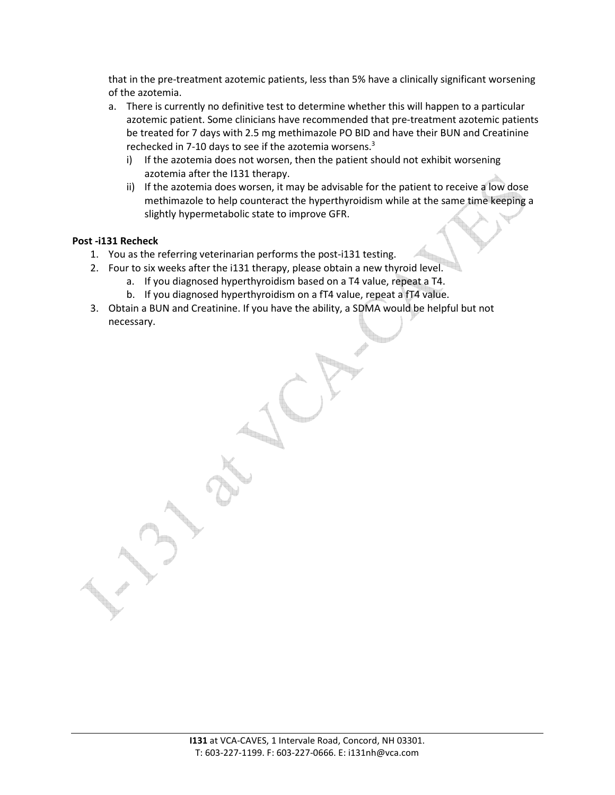that in the pre-treatment azotemic patients, less than 5% have a clinically significant worsening of the azotemia.

- a. There is currently no definitive test to determine whether this will happen to a particular azotemic patient. Some clinicians have recommended that pre-treatment azotemic patients be treated for 7 days with 2.5 mg methimazole PO BID and have their BUN and Creatinine rechecked in 7-10 days to see if the azotemia worsens.<sup>3</sup>
	- i) If the azotemia does not worsen, then the patient should not exhibit worsening azotemia after the I131 therapy.
	- ii) If the azotemia does worsen, it may be advisable for the patient to receive a low dose methimazole to help counteract the hyperthyroidism while at the same time keeping a slightly hypermetabolic state to improve GFR.

## Post -i131 Recheck

- 1. You as the referring veterinarian performs the post-i131 testing.
- 2. Four to six weeks after the i131 therapy, please obtain a new thyroid level.
	- a. If you diagnosed hyperthyroidism based on a T4 value, repeat a T4.
	- b. If you diagnosed hyperthyroidism on a fT4 value, repeat a fT4 value.
- 3. Obtain a BUN and Creatinine. If you have the ability, a SDMA would be helpful but not necessary.